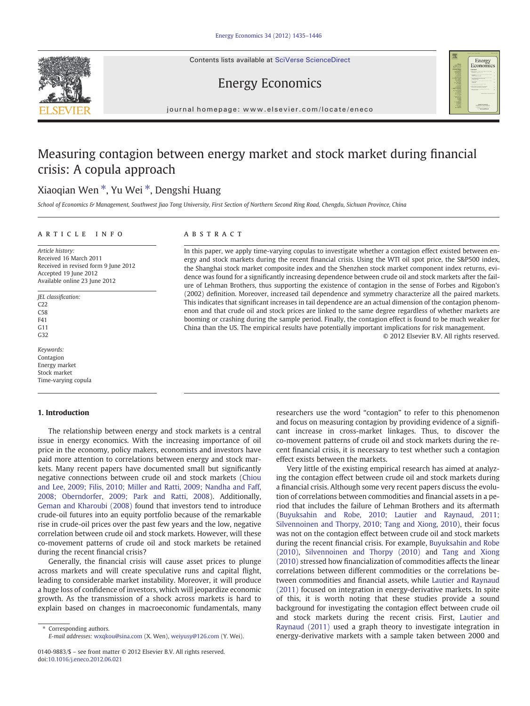Contents lists available at SciVerse ScienceDirect





## Energy Economics

journal homepage: www.elsevier.com/locate/eneco

## Measuring contagion between energy market and stock market during financial crisis: A copula approach

## Xiaoqian Wen ⁎, Yu Wei ⁎, Dengshi Huang

School of Economics & Management, Southwest Jiao Tong University, First Section of Northern Second Ring Road, Chengdu, Sichuan Province, China

### article info abstract

Article history: Received 16 March 2011 Received in revised form 9 June 2012 Accepted 19 June 2012 Available online 23 June 2012

JEL classification:  $C22$ C58 F41 G11 G32

Keywords: Contagion Energy market Stock market Time-varying copula

#### 1. Introduction

The relationship between energy and stock markets is a central issue in energy economics. With the increasing importance of oil price in the economy, policy makers, economists and investors have paid more attention to correlations between energy and stock markets. Many recent papers have documented small but significantly negative connections between crude oil and stock markets ([Chiou](#page--1-0) [and Lee, 2009; Filis, 2010; Miller and Ratti, 2009; Nandha and Faff,](#page--1-0) [2008; Oberndorfer, 2009; Park and Ratti, 2008\)](#page--1-0). Additionally, [Geman and Kharoubi \(2008\)](#page--1-0) found that investors tend to introduce crude-oil futures into an equity portfolio because of the remarkable rise in crude-oil prices over the past few years and the low, negative correlation between crude oil and stock markets. However, will these co-movement patterns of crude oil and stock markets be retained during the recent financial crisis?

Generally, the financial crisis will cause asset prices to plunge across markets and will create speculative runs and capital flight, leading to considerable market instability. Moreover, it will produce a huge loss of confidence of investors, which will jeopardize economic growth. As the transmission of a shock across markets is hard to explain based on changes in macroeconomic fundamentals, many

Corresponding authors. E-mail addresses: [wxqkou@sina.com](mailto:wxqkou@sina.com) (X. Wen), [weiyusy@126.com](mailto:weiyusy@126.com) (Y. Wei).

In this paper, we apply time-varying copulas to investigate whether a contagion effect existed between energy and stock markets during the recent financial crisis. Using the WTI oil spot price, the S&P500 index, the Shanghai stock market composite index and the Shenzhen stock market component index returns, evidence was found for a significantly increasing dependence between crude oil and stock markets after the failure of Lehman Brothers, thus supporting the existence of contagion in the sense of Forbes and Rigobon's (2002) definition. Moreover, increased tail dependence and symmetry characterize all the paired markets. This indicates that significant increases in tail dependence are an actual dimension of the contagion phenomenon and that crude oil and stock prices are linked to the same degree regardless of whether markets are booming or crashing during the sample period. Finally, the contagion effect is found to be much weaker for China than the US. The empirical results have potentially important implications for risk management.

© 2012 Elsevier B.V. All rights reserved.

researchers use the word "contagion" to refer to this phenomenon and focus on measuring contagion by providing evidence of a significant increase in cross-market linkages. Thus, to discover the co-movement patterns of crude oil and stock markets during the recent financial crisis, it is necessary to test whether such a contagion effect exists between the markets.

Very little of the existing empirical research has aimed at analyzing the contagion effect between crude oil and stock markets during a financial crisis. Although some very recent papers discuss the evolution of correlations between commodities and financial assets in a period that includes the failure of Lehman Brothers and its aftermath [\(Buyuksahin and Robe, 2010; Lautier and Raynaud, 2011;](#page--1-0) [Silvennoinen and Thorpy, 2010; Tang and Xiong, 2010\)](#page--1-0), their focus was not on the contagion effect between crude oil and stock markets during the recent financial crisis. For example, [Buyuksahin and Robe](#page--1-0) [\(2010\),](#page--1-0) [Silvennoinen and Thorpy \(2010\)](#page--1-0) and [Tang and Xiong](#page--1-0) [\(2010\)](#page--1-0) stressed how financialization of commodities affects the linear correlations between different commodities or the correlations between commodities and financial assets, while [Lautier and Raynaud](#page--1-0) [\(2011\)](#page--1-0) focused on integration in energy-derivative markets. In spite of this, it is worth noting that these studies provide a sound background for investigating the contagion effect between crude oil and stock markets during the recent crisis. First, [Lautier and](#page--1-0) [Raynaud \(2011\)](#page--1-0) used a graph theory to investigate integration in energy-derivative markets with a sample taken between 2000 and

<sup>0140-9883/\$</sup> – see front matter © 2012 Elsevier B.V. All rights reserved. doi:[10.1016/j.eneco.2012.06.021](http://dx.doi.org/10.1016/j.eneco.2012.06.021)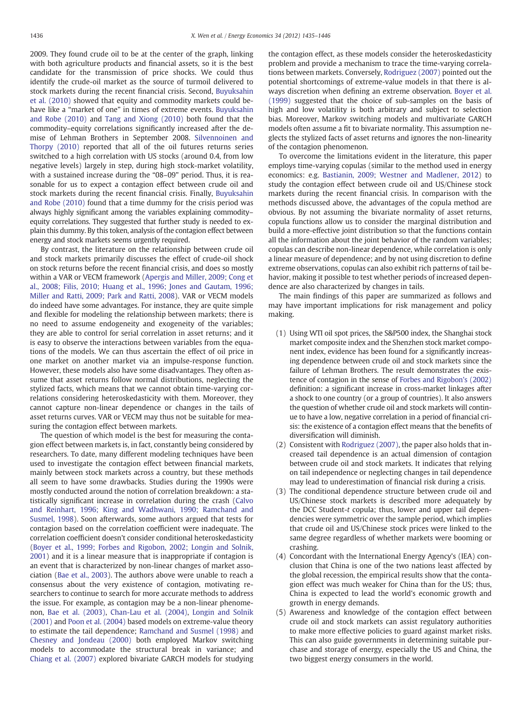2009. They found crude oil to be at the center of the graph, linking with both agriculture products and financial assets, so it is the best candidate for the transmission of price shocks. We could thus identify the crude-oil market as the source of turmoil delivered to stock markets during the recent financial crisis. Second, [Buyuksahin](#page--1-0) [et al. \(2010\)](#page--1-0) showed that equity and commodity markets could behave like a "market of one" in times of extreme events. [Buyuksahin](#page--1-0) [and Robe \(2010\)](#page--1-0) and [Tang and Xiong \(2010\)](#page--1-0) both found that the commodity–equity correlations significantly increased after the demise of Lehman Brothers in September 2008. [Silvennoinen and](#page--1-0) [Thorpy \(2010\)](#page--1-0) reported that all of the oil futures returns series switched to a high correlation with US stocks (around 0.4, from low negative levels) largely in step, during high stock-market volatility,

with a sustained increase during the "08–09" period. Thus, it is reasonable for us to expect a contagion effect between crude oil and stock markets during the recent financial crisis. Finally, [Buyuksahin](#page--1-0) [and Robe \(2010\)](#page--1-0) found that a time dummy for the crisis period was always highly significant among the variables explaining commodity– equity correlations. They suggested that further study is needed to explain this dummy. By this token, analysis of the contagion effect between energy and stock markets seems urgently required.

By contrast, the literature on the relationship between crude oil and stock markets primarily discusses the effect of crude-oil shock on stock returns before the recent financial crisis, and does so mostly within a VAR or VECM framework [\(Apergis and Miller, 2009; Cong et](#page--1-0) [al., 2008; Filis, 2010; Huang et al., 1996; Jones and Gautam, 1996;](#page--1-0) [Miller and Ratti, 2009; Park and Ratti, 2008](#page--1-0)). VAR or VECM models do indeed have some advantages. For instance, they are quite simple and flexible for modeling the relationship between markets; there is no need to assume endogeneity and exogeneity of the variables; they are able to control for serial correlation in asset returns; and it is easy to observe the interactions between variables from the equations of the models. We can thus ascertain the effect of oil price in one market on another market via an impulse-response function. However, these models also have some disadvantages. They often assume that asset returns follow normal distributions, neglecting the stylized facts, which means that we cannot obtain time-varying correlations considering heteroskedasticity with them. Moreover, they cannot capture non-linear dependence or changes in the tails of asset returns curves. VAR or VECM may thus not be suitable for measuring the contagion effect between markets.

The question of which model is the best for measuring the contagion effect between markets is, in fact, constantly being considered by researchers. To date, many different modeling techniques have been used to investigate the contagion effect between financial markets, mainly between stock markets across a country, but these methods all seem to have some drawbacks. Studies during the 1990s were mostly conducted around the notion of correlation breakdown: a statistically significant increase in correlation during the crash ([Calvo](#page--1-0) [and Reinhart, 1996; King and Wadhwani, 1990; Ramchand and](#page--1-0) [Susmel, 1998\)](#page--1-0). Soon afterwards, some authors argued that tests for contagion based on the correlation coefficient were inadequate. The correlation coefficient doesn't consider conditional heteroskedasticity [\(Boyer et al., 1999; Forbes and Rigobon, 2002; Longin and Solnik,](#page--1-0) [2001\)](#page--1-0) and it is a linear measure that is inappropriate if contagion is an event that is characterized by non-linear changes of market association ([Bae et al., 2003\)](#page--1-0). The authors above were unable to reach a consensus about the very existence of contagion, motivating researchers to continue to search for more accurate methods to address the issue. For example, as contagion may be a non-linear phenomenon, [Bae et al. \(2003\),](#page--1-0) [Chan-Lau et al. \(2004\),](#page--1-0) [Longin and Solnik](#page--1-0) [\(2001\)](#page--1-0) and [Poon et al. \(2004\)](#page--1-0) based models on extreme-value theory to estimate the tail dependence; [Ramchand and Susmel \(1998\)](#page--1-0) and [Chesney and Jondeau \(2000\)](#page--1-0) both employed Markov switching models to accommodate the structural break in variance; and [Chiang et al. \(2007\)](#page--1-0) explored bivariate GARCH models for studying

the contagion effect, as these models consider the heteroskedasticity problem and provide a mechanism to trace the time-varying correlations between markets. Conversely, [Rodriguez \(2007\)](#page--1-0) pointed out the potential shortcomings of extreme-value models in that there is always discretion when defining an extreme observation. [Boyer et al.](#page--1-0) [\(1999\)](#page--1-0) suggested that the choice of sub-samples on the basis of high and low volatility is both arbitrary and subject to selection bias. Moreover, Markov switching models and multivariate GARCH models often assume a fit to bivariate normality. This assumption neglects the stylized facts of asset returns and ignores the non-linearity of the contagion phenomenon.

To overcome the limitations evident in the literature, this paper employs time-varying copulas (similar to the method used in energy economics: e.g. [Bastianin, 2009; Westner and Madlener, 2012\)](#page--1-0) to study the contagion effect between crude oil and US/Chinese stock markets during the recent financial crisis. In comparison with the methods discussed above, the advantages of the copula method are obvious. By not assuming the bivariate normality of asset returns, copula functions allow us to consider the marginal distribution and build a more-effective joint distribution so that the functions contain all the information about the joint behavior of the random variables; copulas can describe non-linear dependence, while correlation is only a linear measure of dependence; and by not using discretion to define extreme observations, copulas can also exhibit rich patterns of tail behavior, making it possible to test whether periods of increased dependence are also characterized by changes in tails.

The main findings of this paper are summarized as follows and may have important implications for risk management and policy making.

- (1) Using WTI oil spot prices, the S&P500 index, the Shanghai stock market composite index and the Shenzhen stock market component index, evidence has been found for a significantly increasing dependence between crude oil and stock markets since the failure of Lehman Brothers. The result demonstrates the existence of contagion in the sense of [Forbes and Rigobon's \(2002\)](#page--1-0) definition: a significant increase in cross-market linkages after a shock to one country (or a group of countries). It also answers the question of whether crude oil and stock markets will continue to have a low, negative correlation in a period of financial crisis: the existence of a contagion effect means that the benefits of diversification will diminish.
- (2) Consistent with [Rodriguez \(2007\),](#page--1-0) the paper also holds that increased tail dependence is an actual dimension of contagion between crude oil and stock markets. It indicates that relying on tail independence or neglecting changes in tail dependence may lead to underestimation of financial risk during a crisis.
- (3) The conditional dependence structure between crude oil and US/Chinese stock markets is described more adequately by the DCC Student-t copula; thus, lower and upper tail dependencies were symmetric over the sample period, which implies that crude oil and US/Chinese stock prices were linked to the same degree regardless of whether markets were booming or crashing.
- (4) Concordant with the International Energy Agency's (IEA) conclusion that China is one of the two nations least affected by the global recession, the empirical results show that the contagion effect was much weaker for China than for the US; thus, China is expected to lead the world's economic growth and growth in energy demands.
- (5) Awareness and knowledge of the contagion effect between crude oil and stock markets can assist regulatory authorities to make more effective policies to guard against market risks. This can also guide governments in determining suitable purchase and storage of energy, especially the US and China, the two biggest energy consumers in the world.